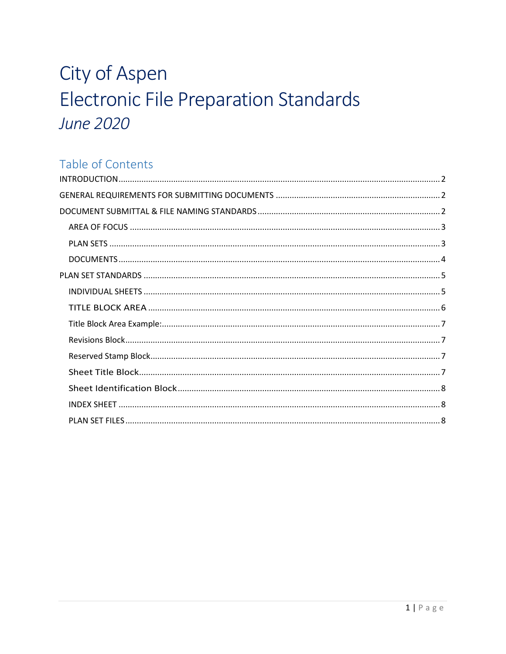# City of Aspen Electronic File Preparation Standards **June 2020**

# Table of Contents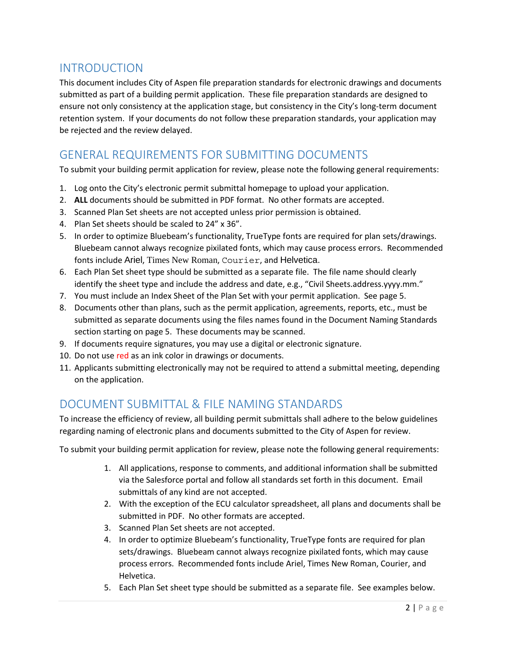## <span id="page-1-0"></span>INTRODUCTION

This document includes City of Aspen file preparation standards for electronic drawings and documents submitted as part of a building permit application. These file preparation standards are designed to ensure not only consistency at the application stage, but consistency in the City's long-term document retention system. If your documents do not follow these preparation standards, your application may be rejected and the review delayed.

# <span id="page-1-1"></span>GENERAL REQUIREMENTS FOR SUBMITTING DOCUMENTS

To submit your building permit application for review, please note the following general requirements:

- 1. Log onto the City's electronic permit submittal homepage to upload your application.
- 2. **ALL** documents should be submitted in PDF format. No other formats are accepted.
- 3. Scanned Plan Set sheets are not accepted unless prior permission is obtained.
- 4. Plan Set sheets should be scaled to 24" x 36".
- 5. In order to optimize Bluebeam's functionality, TrueType fonts are required for plan sets/drawings. Bluebeam cannot always recognize pixilated fonts, which may cause process errors. Recommended fonts include Ariel, Times New Roman, Courier, and Helvetica.
- 6. Each Plan Set sheet type should be submitted as a separate file. The file name should clearly identify the sheet type and include the address and date, e.g., "Civil Sheets.address.yyyy.mm."
- 7. You must include an Index Sheet of the Plan Set with your permit application. See page 5.
- 8. Documents other than plans, such as the permit application, agreements, reports, etc., must be submitted as separate documents using the files names found in the Document Naming Standards section starting on page 5. These documents may be scanned.
- 9. If documents require signatures, you may use a digital or electronic signature.
- 10. Do not use red as an ink color in drawings or documents.
- 11. Applicants submitting electronically may not be required to attend a submittal meeting, depending on the application.

# <span id="page-1-2"></span>DOCUMENT SUBMITTAL & FILE NAMING STANDARDS

To increase the efficiency of review, all building permit submittals shall adhere to the below guidelines regarding naming of electronic plans and documents submitted to the City of Aspen for review.

To submit your building permit application for review, please note the following general requirements:

- 1. All applications, response to comments, and additional information shall be submitted via the Salesforce portal and follow all standards set forth in this document. Email submittals of any kind are not accepted.
- 2. With the exception of the ECU calculator spreadsheet, all plans and documents shall be submitted in PDF. No other formats are accepted.
- 3. Scanned Plan Set sheets are not accepted.
- 4. In order to optimize Bluebeam's functionality, TrueType fonts are required for plan sets/drawings. Bluebeam cannot always recognize pixilated fonts, which may cause process errors. Recommended fonts include Ariel, Times New Roman, Courier, and Helvetica.
- 5. Each Plan Set sheet type should be submitted as a separate file. See examples below.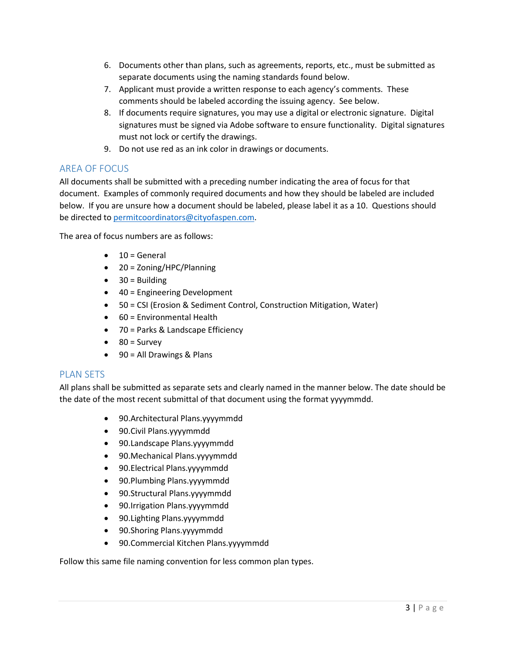- 6. Documents other than plans, such as agreements, reports, etc., must be submitted as separate documents using the naming standards found below.
- 7. Applicant must provide a written response to each agency's comments. These comments should be labeled according the issuing agency. See below.
- 8. If documents require signatures, you may use a digital or electronic signature. Digital signatures must be signed via Adobe software to ensure functionality. Digital signatures must not lock or certify the drawings.
- 9. Do not use red as an ink color in drawings or documents.

## <span id="page-2-0"></span>AREA OF FOCUS

All documents shall be submitted with a preceding number indicating the area of focus for that document. Examples of commonly required documents and how they should be labeled are included below. If you are unsure how a document should be labeled, please label it as a 10. Questions should be directed to [permitcoordinators@cityofaspen.com.](mailto:permitcoordinators@cityofaspen.com)

The area of focus numbers are as follows:

- $\bullet$  10 = General
- 20 = Zoning/HPC/Planning
- $\bullet$  30 = Building
- 40 = Engineering Development
- 50 = CSI (Erosion & Sediment Control, Construction Mitigation, Water)
- 60 = Environmental Health
- 70 = Parks & Landscape Efficiency
- $\bullet$  80 = Survey
- 90 = All Drawings & Plans

#### <span id="page-2-1"></span>PLAN SETS

All plans shall be submitted as separate sets and clearly named in the manner below. The date should be the date of the most recent submittal of that document using the format yyyymmdd.

- 90.Architectural Plans.yyyymmdd
- 90.Civil Plans.yyyymmdd
- 90.Landscape Plans.yyyymmdd
- 90.Mechanical Plans.yyyymmdd
- 90.Electrical Plans.yyyymmdd
- 90.Plumbing Plans.yyyymmdd
- 90.Structural Plans.yyyymmdd
- 90.Irrigation Plans.yyyymmdd
- 90.Lighting Plans.yyyymmdd
- 90.Shoring Plans.yyyymmdd
- 90.Commercial Kitchen Plans.yyyymmdd

Follow this same file naming convention for less common plan types.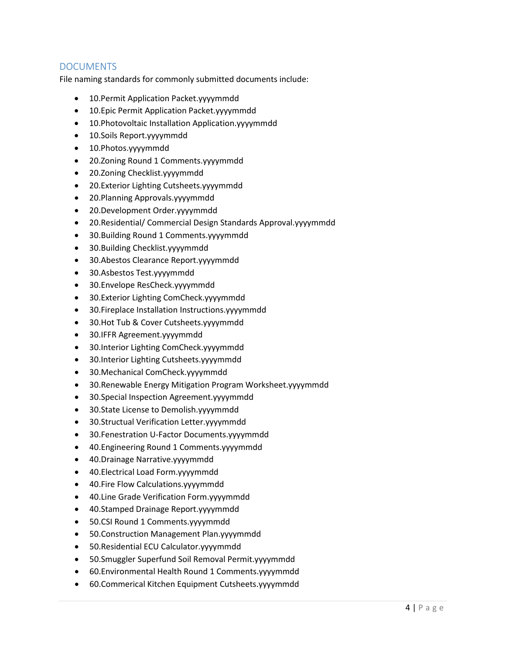## <span id="page-3-0"></span>DOCUMENTS

File naming standards for commonly submitted documents include:

- 10.Permit Application Packet.yyyymmdd
- 10.Epic Permit Application Packet.yyyymmdd
- 10.Photovoltaic Installation Application.yyyymmdd
- 10.Soils Report.yyyymmdd
- 10.Photos.yyyymmdd
- 20.Zoning Round 1 Comments.yyyymmdd
- 20.Zoning Checklist.yyyymmdd
- 20.Exterior Lighting Cutsheets.yyyymmdd
- 20.Planning Approvals.yyyymmdd
- 20.Development Order.yyyymmdd
- 20.Residential/ Commercial Design Standards Approval.yyyymmdd
- 30.Building Round 1 Comments.yyyymmdd
- 30.Building Checklist.yyyymmdd
- 30.Abestos Clearance Report.yyyymmdd
- 30.Asbestos Test.yyyymmdd
- 30.Envelope ResCheck.yyyymmdd
- 30.Exterior Lighting ComCheck.yyyymmdd
- 30. Fireplace Installation Instructions.yyyymmdd
- 30.Hot Tub & Cover Cutsheets.yyyymmdd
- 30.IFFR Agreement.yyyymmdd
- 30.Interior Lighting ComCheck.yyyymmdd
- 30.Interior Lighting Cutsheets.yyyymmdd
- 30.Mechanical ComCheck.yyyymmdd
- 30.Renewable Energy Mitigation Program Worksheet.yyyymmdd
- 30.Special Inspection Agreement.yyyymmdd
- 30.State License to Demolish.yyyymmdd
- 30.Structual Verification Letter.yyyymmdd
- 30.Fenestration U-Factor Documents.yyyymmdd
- 40.Engineering Round 1 Comments.yyyymmdd
- 40.Drainage Narrative.yyyymmdd
- 40.Electrical Load Form.yyyymmdd
- 40.Fire Flow Calculations.yyyymmdd
- 40.Line Grade Verification Form.yyyymmdd
- 40.Stamped Drainage Report.yyyymmdd
- 50.CSI Round 1 Comments.yyyymmdd
- 50.Construction Management Plan.yyyymmdd
- 50.Residential ECU Calculator.yyyymmdd
- 50.Smuggler Superfund Soil Removal Permit.yyyymmdd
- 60.Environmental Health Round 1 Comments.yyyymmdd
- 60.Commerical Kitchen Equipment Cutsheets.yyyymmdd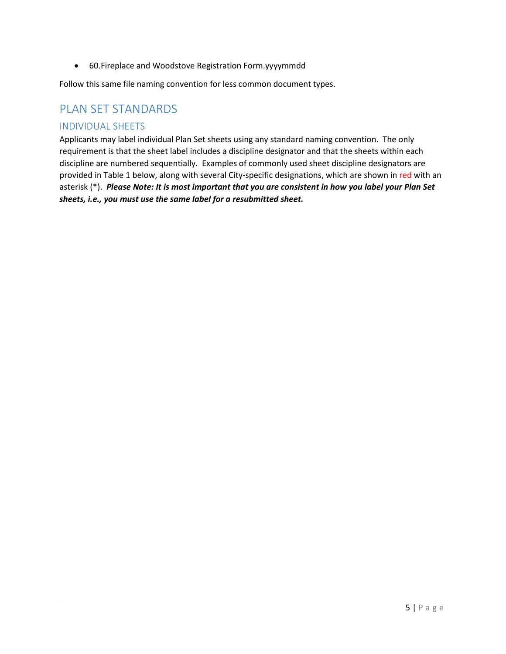• 60.Fireplace and Woodstove Registration Form.yyyymmdd

Follow this same file naming convention for less common document types.

## <span id="page-4-0"></span>PLAN SET STANDARDS

#### <span id="page-4-1"></span>INDIVIDUAL SHEETS

Applicants may label individual Plan Set sheets using any standard naming convention. The only requirement is that the sheet label includes a discipline designator and that the sheets within each discipline are numbered sequentially. Examples of commonly used sheet discipline designators are provided in Table 1 below, along with several City-specific designations, which are shown in red with an asterisk (\*). *Please Note: It is most important that you are consistent in how you label your Plan Set sheets, i.e., you must use the same label for a resubmitted sheet.*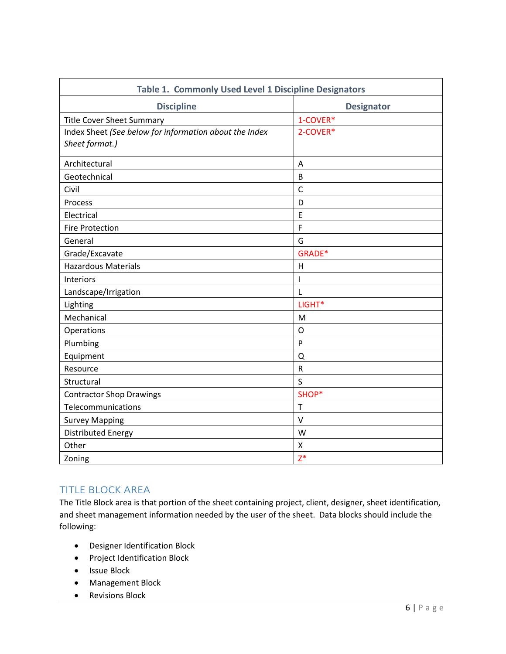| Table 1. Commonly Used Level 1 Discipline Designators  |                   |  |
|--------------------------------------------------------|-------------------|--|
| <b>Discipline</b>                                      | <b>Designator</b> |  |
| <b>Title Cover Sheet Summary</b>                       | 1-COVER*          |  |
| Index Sheet (See below for information about the Index | 2-COVER*          |  |
| Sheet format.)                                         |                   |  |
| Architectural                                          | A                 |  |
| Geotechnical                                           | B                 |  |
| Civil                                                  | $\mathsf{C}$      |  |
| Process                                                | D                 |  |
| Electrical                                             | E                 |  |
| <b>Fire Protection</b>                                 | F                 |  |
| General                                                | G                 |  |
| Grade/Excavate                                         | GRADE*            |  |
| <b>Hazardous Materials</b>                             | $\mathsf{H}$      |  |
| Interiors                                              | I                 |  |
| Landscape/Irrigation                                   | L                 |  |
| Lighting                                               | LIGHT*            |  |
| Mechanical                                             | M                 |  |
| Operations                                             | O                 |  |
| Plumbing                                               | P                 |  |
| Equipment                                              | Q                 |  |
| Resource                                               | ${\sf R}$         |  |
| Structural                                             | S                 |  |
| <b>Contractor Shop Drawings</b>                        | SHOP*             |  |
| Telecommunications                                     | $\mathsf T$       |  |
| <b>Survey Mapping</b>                                  | $\vee$            |  |
| <b>Distributed Energy</b>                              | W                 |  |
| Other                                                  | Χ                 |  |
| Zoning                                                 | $Z^*$             |  |

#### <span id="page-5-0"></span>TITLE BLOCK AREA

The Title Block area is that portion of the sheet containing project, client, designer, sheet identification, and sheet management information needed by the user of the sheet. Data blocks should include the following:

- Designer Identification Block
- Project Identification Block
- Issue Block
- Management Block
- Revisions Block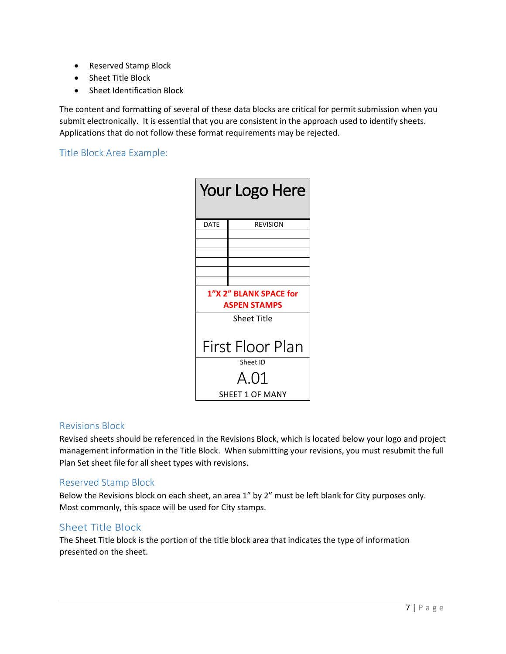- Reserved Stamp Block
- Sheet Title Block
- Sheet Identification Block

The content and formatting of several of these data blocks are critical for permit submission when you submit electronically. It is essential that you are consistent in the approach used to identify sheets. Applications that do not follow these format requirements may be rejected.

<span id="page-6-0"></span>Title Block Area Example:

| Your Logo Here         |                 |  |  |
|------------------------|-----------------|--|--|
| DATE                   | <b>REVISION</b> |  |  |
|                        |                 |  |  |
|                        |                 |  |  |
|                        |                 |  |  |
|                        |                 |  |  |
|                        |                 |  |  |
| 1"X 2" BLANK SPACE for |                 |  |  |
| <b>ASPEN STAMPS</b>    |                 |  |  |
| <b>Sheet Title</b>     |                 |  |  |
|                        |                 |  |  |
| First Floor Plan       |                 |  |  |
| Sheet ID               |                 |  |  |
| A.O1                   |                 |  |  |
| SHEET 1 OF MANY        |                 |  |  |

#### <span id="page-6-1"></span>Revisions Block

Revised sheets should be referenced in the Revisions Block, which is located below your logo and project management information in the Title Block. When submitting your revisions, you must resubmit the full Plan Set sheet file for all sheet types with revisions.

#### <span id="page-6-2"></span>Reserved Stamp Block

Below the Revisions block on each sheet, an area 1" by 2" must be left blank for City purposes only. Most commonly, this space will be used for City stamps.

#### <span id="page-6-3"></span>Sheet Title Block

The Sheet Title block is the portion of the title block area that indicates the type of information presented on the sheet.